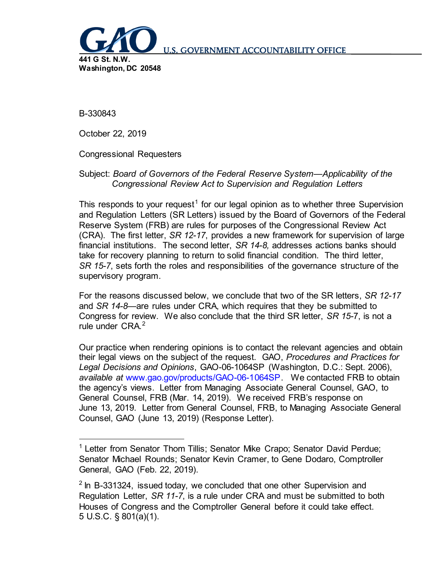

**U.S. GOVERNMENT ACCOUNTABILITY OFFICE** 

B-330843

October 22, 2019

Congressional Requesters

## Subject: *Board of Governors of the Federal Reserve System—Applicability of the Congressional Review Act to Supervision and Regulation Letters*

This responds to your request<sup>[1](#page-0-0)</sup> for our legal opinion as to whether three Supervision and Regulation Letters (SR Letters) issued by the Board of Governors of the Federal Reserve System (FRB) are rules for purposes of the Congressional Review Act (CRA). The first letter, *SR 12-17*, provides a new framework for supervision of large financial institutions. The second letter, *SR 14-8,* addresses actions banks should take for recovery planning to return to solid financial condition. The third letter, *SR 15-7*, sets forth the roles and responsibilities of the governance structure of the supervisory program.

For the reasons discussed below, we conclude that two of the SR letters, *SR 12-17* and *SR 14-8*—are rules under CRA, which requires that they be submitted to Congress for review. We also conclude that the third SR letter, *SR 15-*7, is not a rule under CRA.<sup>[2](#page-0-1)</sup>

Our practice when rendering opinions is to contact the relevant agencies and obtain their legal views on the subject of the request. GAO, *Procedures and Practices for Legal Decisions and Opinions*, GAO-06-1064SP (Washington, D.C.: Sept. 2006), *available at* [www.gao.gov/products/GAO-06-1064SP.](http://www.gao.gov/products/GAO-06-1064SP) We contacted FRB to obtain the agency's views. Letter from Managing Associate General Counsel, GAO, to General Counsel, FRB (Mar. 14, 2019). We received FRB's response on June 13, 2019. Letter from General Counsel, FRB, to Managing Associate General Counsel, GAO (June 13, 2019) (Response Letter).

<span id="page-0-0"></span><sup>&</sup>lt;sup>1</sup> Letter from Senator Thom Tillis; Senator Mike Crapo; Senator David Perdue; Senator Michael Rounds; Senator Kevin Cramer, to Gene Dodaro, Comptroller General, GAO (Feb. 22, 2019).

<span id="page-0-1"></span> $2$  In B-331324, issued today, we concluded that one other Supervision and Regulation Letter, *SR 11-7*, is a rule under CRA and must be submitted to both Houses of Congress and the Comptroller General before it could take effect. 5 U.S.C. § 801(a)(1).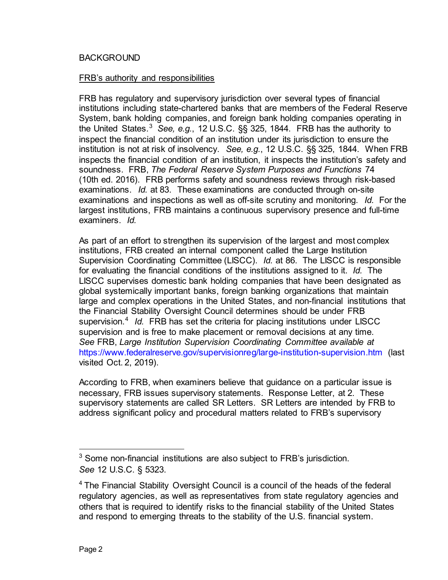#### BACKGROUND

#### FRB's authority and responsibilities

FRB has regulatory and supervisory jurisdiction over several types of financial institutions including state-chartered banks that are members of the Federal Reserve System, bank holding companies, and foreign bank holding companies operating in the United States.[3](#page-1-0) *See, e.g.*, 12 U.S.C. §§ 325, 1844. FRB has the authority to inspect the financial condition of an institution under its jurisdiction to ensure the institution is not at risk of insolvency. *See, e.g.*, 12 U.S.C. §§ 325, 1844. When FRB inspects the financial condition of an institution, it inspects the institution's safety and soundness. FRB, *The Federal Reserve System Purposes and Functions* 74 (10th ed. 2016). FRB performs safety and soundness reviews through risk-based examinations. *Id.* at 83. These examinations are conducted through on-site examinations and inspections as well as off-site scrutiny and monitoring. *Id.* For the largest institutions, FRB maintains a continuous supervisory presence and full-time examiners. *Id.*

As part of an effort to strengthen its supervision of the largest and most complex institutions, FRB created an internal component called the Large Institution Supervision Coordinating Committee (LISCC). *Id.* at 86. The LISCC is responsible for evaluating the financial conditions of the institutions assigned to it. *Id.* The LISCC supervises domestic bank holding companies that have been designated as global systemically important banks, foreign banking organizations that maintain large and complex operations in the United States, and non-financial institutions that the Financial Stability Oversight Council determines should be under FRB supervision.<sup>[4](#page-1-1)</sup> *Id.* FRB has set the criteria for placing institutions under LISCC supervision and is free to make placement or removal decisions at any time. *See* FRB, *Large Institution Supervision Coordinating Committee available at*  <https://www.federalreserve.gov/supervisionreg/large-institution-supervision.htm> (last visited Oct. 2, 2019).

According to FRB, when examiners believe that guidance on a particular issue is necessary, FRB issues supervisory statements. Response Letter, at 2. These supervisory statements are called SR Letters. SR Letters are intended by FRB to address significant policy and procedural matters related to FRB's supervisory

<span id="page-1-0"></span><sup>&</sup>lt;sup>3</sup> Some non-financial institutions are also subject to FRB's jurisdiction. *See* 12 U.S.C. § 5323.

<span id="page-1-1"></span><sup>&</sup>lt;sup>4</sup> The Financial Stability Oversight Council is a council of the heads of the federal regulatory agencies, as well as representatives from state regulatory agencies and others that is required to identify risks to the financial stability of the United States and respond to emerging threats to the stability of the U.S. financial system.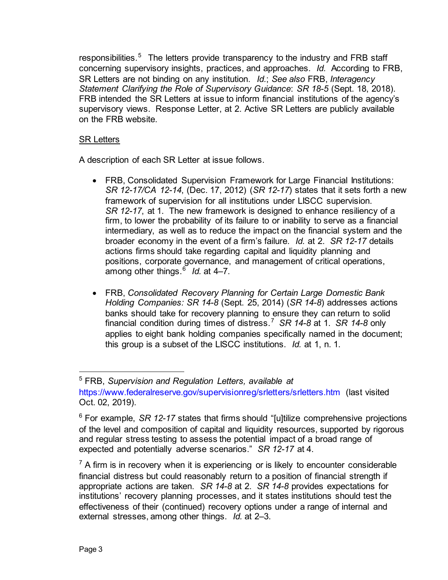responsibilities.<sup>[5](#page-2-0)</sup> The letters provide transparency to the industry and FRB staff concerning supervisory insights, practices, and approaches. *Id.* According to FRB, SR Letters are not binding on any institution. *Id.*; *See also* FRB, *Interagency Statement Clarifying the Role of Supervisory Guidance*: *SR 18-5* (Sept. 18, 2018). FRB intended the SR Letters at issue to inform financial institutions of the agency's supervisory views. Response Letter, at 2. Active SR Letters are publicly available on the FRB website.

# SR Letters

A description of each SR Letter at issue follows.

- FRB, Consolidated Supervision Framework for Large Financial Institutions: *SR 12-17/CA 12-14*, (Dec. 17, 2012) (*SR 12-17*) states that it sets forth a new framework of supervision for all institutions under LISCC supervision. *SR 12-17*, at 1. The new framework is designed to enhance resiliency of a firm, to lower the probability of its failure to or inability to serve as a financial intermediary, as well as to reduce the impact on the financial system and the broader economy in the event of a firm's failure. *Id.* at 2. *SR 12-17* details actions firms should take regarding capital and liquidity planning and positions, corporate governance, and management of critical operations, among other things.<sup>[6](#page-2-1)</sup> *Id.* at 4–7.
- FRB, *Consolidated Recovery Planning for Certain Large Domestic Bank Holding Companies: SR 14-8* (Sept. 25, 2014) (*SR 14-8*) addresses actions banks should take for recovery planning to ensure they can return to solid financial condition during times of distress.[7](#page-2-2) *SR 14-8* at 1. *SR 14-8* only applies to eight bank holding companies specifically named in the document; this group is a subset of the LISCC institutions. *Id.* at 1, n. 1.

<span id="page-2-0"></span> <sup>5</sup> FRB, *Supervision and Regulation Letters, available at*  <https://www.federalreserve.gov/supervisionreg/srletters/srletters.htm> (last visited Oct. 02, 2019).

<span id="page-2-1"></span><sup>&</sup>lt;sup>6</sup> For example, *SR 12-17* states that firms should "[u]tilize comprehensive projections of the level and composition of capital and liquidity resources, supported by rigorous and regular stress testing to assess the potential impact of a broad range of expected and potentially adverse scenarios." *SR 12-17* at 4.

<span id="page-2-2"></span> $<sup>7</sup>$  A firm is in recovery when it is experiencing or is likely to encounter considerable</sup> financial distress but could reasonably return to a position of financial strength if appropriate actions are taken. *SR 14-8* at 2. *SR 14-8* provides expectations for institutions' recovery planning processes, and it states institutions should test the effectiveness of their (continued) recovery options under a range of internal and external stresses, among other things. *Id.* at 2–3.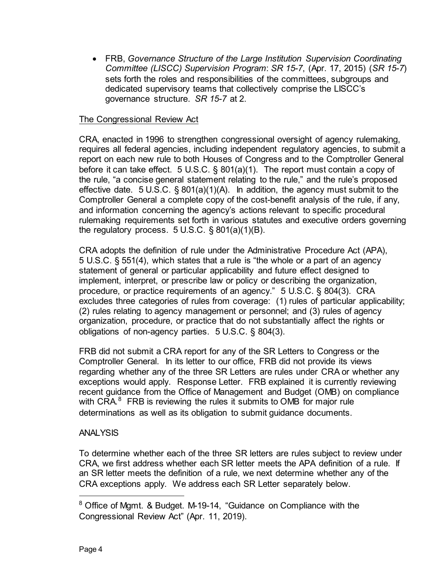• FRB, *Governance Structure of the Large Institution Supervision Coordinating Committee (LISCC) Supervision Program*: *SR 15-7*, (Apr. 17, 2015) (*SR 15-7*) sets forth the roles and responsibilities of the committees, subgroups and dedicated supervisory teams that collectively comprise the LISCC's governance structure. *SR 15-7* at 2.

# The Congressional Review Act

CRA, enacted in 1996 to strengthen congressional oversight of agency rulemaking, requires all federal agencies, including independent regulatory agencies, to submit a report on each new rule to both Houses of Congress and to the Comptroller General before it can take effect. 5 U.S.C. § 801(a)(1). The report must contain a copy of the rule, "a concise general statement relating to the rule," and the rule's proposed effective date. 5 U.S.C. § 801(a)(1)(A). In addition, the agency must submit to the Comptroller General a complete copy of the cost-benefit analysis of the rule, if any, and information concerning the agency's actions relevant to specific procedural rulemaking requirements set forth in various statutes and executive orders governing the regulatory process.  $5 \text{ U.S.C.}$  § 801(a)(1)(B).

CRA adopts the definition of rule under the Administrative Procedure Act (APA), 5 U.S.C. § 551(4), which states that a rule is "the whole or a part of an agency statement of general or particular applicability and future effect designed to implement, interpret, or prescribe law or policy or describing the organization, procedure, or practice requirements of an agency." 5 U.S.C. § 804(3). CRA excludes three categories of rules from coverage: (1) rules of particular applicability; (2) rules relating to agency management or personnel; and (3) rules of agency organization, procedure, or practice that do not substantially affect the rights or obligations of non-agency parties. 5 U.S.C. § 804(3).

FRB did not submit a CRA report for any of the SR Letters to Congress or the Comptroller General. In its letter to our office, FRB did not provide its views regarding whether any of the three SR Letters are rules under CRA or whether any exceptions would apply. Response Letter. FRB explained it is currently reviewing recent guidance from the Office of Management and Budget (OMB) on compliance with CRA. $8$  FRB is reviewing the rules it submits to OMB for major rule determinations as well as its obligation to submit guidance documents.

## ANALYSIS

To determine whether each of the three SR letters are rules subject to review under CRA, we first address whether each SR letter meets the APA definition of a rule. If an SR letter meets the definition of a rule, we next determine whether any of the CRA exceptions apply. We address each SR Letter separately below.

<span id="page-3-0"></span> <sup>8</sup> Office of Mgmt. & Budget. M-19-14, "Guidance on Compliance with the Congressional Review Act" (Apr. 11, 2019).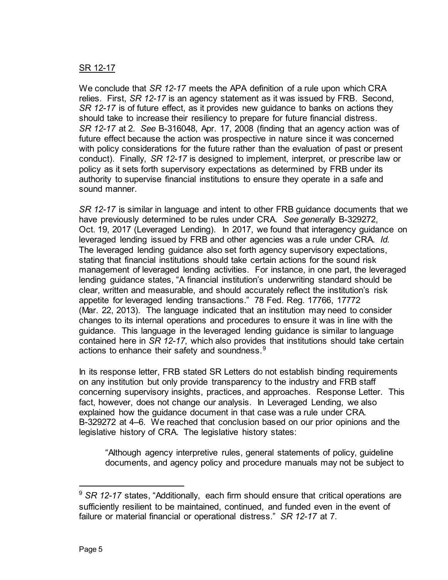# SR 12-17

We conclude that *SR 12-17* meets the APA definition of a rule upon which CRA relies. First, *SR 12-17* is an agency statement as it was issued by FRB. Second, *SR 12-17* is of future effect, as it provides new guidance to banks on actions they should take to increase their resiliency to prepare for future financial distress. *SR 12-17* at 2. *See* B-316048, Apr. 17, 2008 (finding that an agency action was of future effect because the action was prospective in nature since it was concerned with policy considerations for the future rather than the evaluation of past or present conduct). Finally, *SR 12-17* is designed to implement, interpret, or prescribe law or policy as it sets forth supervisory expectations as determined by FRB under its authority to supervise financial institutions to ensure they operate in a safe and sound manner.

*SR 12-17* is similar in language and intent to other FRB guidance documents that we have previously determined to be rules under CRA. *See generally* B-329272, Oct. 19, 2017 (Leveraged Lending). In 2017, we found that interagency guidance on leveraged lending issued by FRB and other agencies was a rule under CRA. *Id.*  The leveraged lending guidance also set forth agency supervisory expectations, stating that financial institutions should take certain actions for the sound risk management of leveraged lending activities. For instance, in one part, the leveraged lending guidance states, "A financial institution's underwriting standard should be clear, written and measurable, and should accurately reflect the institution's risk appetite for leveraged lending transactions." 78 Fed. Reg. 17766, 17772 (Mar. 22, 2013). The language indicated that an institution may need to consider changes to its internal operations and procedures to ensure it was in line with the guidance. This language in the leveraged lending guidance is similar to language contained here in *SR 12-17*, which also provides that institutions should take certain actions to enhance their safety and soundness. $9$ 

In its response letter, FRB stated SR Letters do not establish binding requirements on any institution but only provide transparency to the industry and FRB staff concerning supervisory insights, practices, and approaches. Response Letter. This fact, however, does not change our analysis. In Leveraged Lending, we also explained how the guidance document in that case was a rule under CRA. B-329272 at 4–6. We reached that conclusion based on our prior opinions and the legislative history of CRA. The legislative history states:

"Although agency interpretive rules, general statements of policy, guideline documents, and agency policy and procedure manuals may not be subject to

<span id="page-4-0"></span><sup>&</sup>lt;sup>9</sup> SR 12-17 states, "Additionally, each firm should ensure that critical operations are sufficiently resilient to be maintained, continued, and funded even in the event of failure or material financial or operational distress." *SR 12-17* at 7.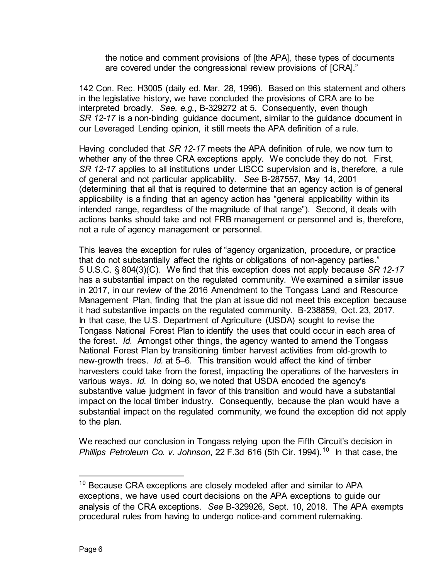the notice and comment provisions of [the APA], these types of documents are covered under the congressional review provisions of [CRA]."

142 Con. Rec. H3005 (daily ed. Mar. 28, 1996). Based on this statement and others in the legislative history, we have concluded the provisions of CRA are to be interpreted broadly. *See, e.g.*, B-329272 at 5. Consequently, even though *SR 12-17* is a non-binding guidance document, similar to the guidance document in our Leveraged Lending opinion, it still meets the APA definition of a rule.

Having concluded that *SR 12-17* meets the APA definition of rule, we now turn to whether any of the three CRA exceptions apply. We conclude they do not. First, *SR 12-17* applies to all institutions under LISCC supervision and is, therefore, a rule of general and not particular applicability. *See* B-287557, May 14, 2001 (determining that all that is required to determine that an agency action is of general applicability is a finding that an agency action has "general applicability within its intended range, regardless of the magnitude of that range"). Second, it deals with actions banks should take and not FRB management or personnel and is, therefore, not a rule of agency management or personnel.

This leaves the exception for rules of "agency organization, procedure, or practice that do not substantially affect the rights or obligations of non-agency parties." 5 U.S.C. § 804(3)(C). We find that this exception does not apply because *SR 12-17* has a substantial impact on the regulated community. We examined a similar issue in 2017, in our review of the 2016 Amendment to the Tongass Land and Resource Management Plan, finding that the plan at issue did not meet this exception because it had substantive impacts on the regulated community. B-238859, Oct. 23, 2017. In that case, the U.S. Department of Agriculture (USDA) sought to revise the Tongass National Forest Plan to identify the uses that could occur in each area of the forest. *Id.* Amongst other things, the agency wanted to amend the Tongass National Forest Plan by transitioning timber harvest activities from old-growth to new-growth trees. *Id.* at 5–6. This transition would affect the kind of timber harvesters could take from the forest, impacting the operations of the harvesters in various ways. *Id.* In doing so, we noted that USDA encoded the agency's substantive value judgment in favor of this transition and would have a substantial impact on the local timber industry. Consequently, because the plan would have a substantial impact on the regulated community, we found the exception did not apply to the plan.

We reached our conclusion in Tongass relying upon the Fifth Circuit's decision in *Phillips Petroleum Co. v. Johnson*, 22 F.3d 616 (5th Cir. 1994).[10](#page-5-0) In that case, the

<span id="page-5-0"></span><sup>&</sup>lt;sup>10</sup> Because CRA exceptions are closely modeled after and similar to APA exceptions, we have used court decisions on the APA exceptions to guide our analysis of the CRA exceptions. *See* B-329926, Sept. 10, 2018. The APA exempts procedural rules from having to undergo notice-and comment rulemaking.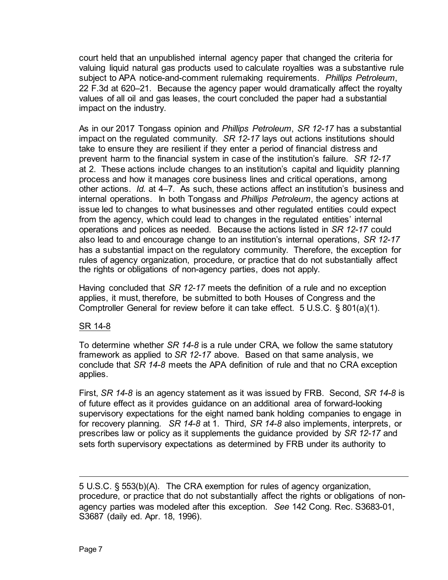court held that an unpublished internal agency paper that changed the criteria for valuing liquid natural gas products used to calculate royalties was a substantive rule subject to APA notice-and-comment rulemaking requirements. *Phillips Petroleum*, 22 F.3d at 620–21. Because the agency paper would dramatically affect the royalty values of all oil and gas leases, the court concluded the paper had a substantial impact on the industry.

As in our 2017 Tongass opinion and *Phillips Petroleum*, *SR 12-17* has a substantial impact on the regulated community. *SR 12-17* lays out actions institutions should take to ensure they are resilient if they enter a period of financial distress and prevent harm to the financial system in case of the institution's failure. *SR 12-17* at 2. These actions include changes to an institution's capital and liquidity planning process and how it manages core business lines and critical operations, among other actions. *Id.* at 4–7. As such, these actions affect an institution's business and internal operations. In both Tongass and *Phillips Petroleum*, the agency actions at issue led to changes to what businesses and other regulated entities could expect from the agency, which could lead to changes in the regulated entities' internal operations and polices as needed. Because the actions listed in *SR 12-17* could also lead to and encourage change to an institution's internal operations, *SR 12-17* has a substantial impact on the regulatory community. Therefore, the exception for rules of agency organization, procedure, or practice that do not substantially affect the rights or obligations of non-agency parties, does not apply.

Having concluded that *SR 12-17* meets the definition of a rule and no exception applies, it must, therefore, be submitted to both Houses of Congress and the Comptroller General for review before it can take effect. 5 U.S.C. § 801(a)(1).

## SR 14-8

To determine whether *SR 14-8* is a rule under CRA, we follow the same statutory framework as applied to *SR 12-17* above. Based on that same analysis, we conclude that *SR 14-8* meets the APA definition of rule and that no CRA exception applies.

First, *SR 14-8* is an agency statement as it was issued by FRB. Second, *SR 14-8* is of future effect as it provides guidance on an additional area of forward-looking supervisory expectations for the eight named bank holding companies to engage in for recovery planning*. SR 14-8* at 1. Third, *SR 14-8* also implements, interprets, or prescribes law or policy as it supplements the guidance provided by *SR 12-17* and sets forth supervisory expectations as determined by FRB under its authority to

l

<sup>5</sup> U.S.C. § 553(b)(A). The CRA exemption for rules of agency organization, procedure, or practice that do not substantially affect the rights or obligations of nonagency parties was modeled after this exception. *See* 142 Cong. Rec. S3683-01, S3687 (daily ed. Apr. 18, 1996).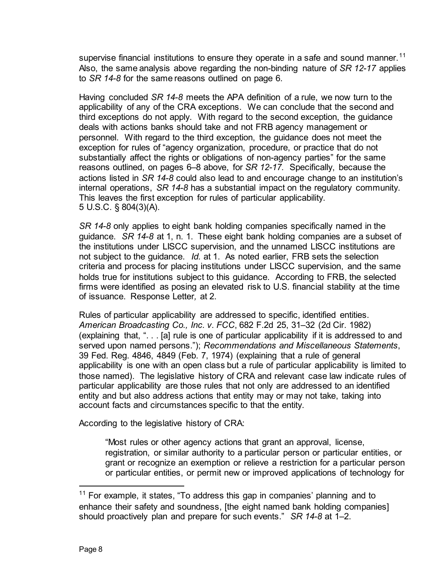supervise financial institutions to ensure they operate in a safe and sound manner.<sup>[11](#page-7-0)</sup> Also, the same analysis above regarding the non-binding nature of *SR 12-17* applies to *SR 14-8* for the same reasons outlined on page 6.

Having concluded *SR 14-8* meets the APA definition of a rule, we now turn to the applicability of any of the CRA exceptions. We can conclude that the second and third exceptions do not apply. With regard to the second exception, the guidance deals with actions banks should take and not FRB agency management or personnel. With regard to the third exception, the guidance does not meet the exception for rules of "agency organization, procedure, or practice that do not substantially affect the rights or obligations of non-agency parties" for the same reasons outlined, on pages 6–8 above, for *SR 12-17*. Specifically, because the actions listed in *SR 14-8* could also lead to and encourage change to an institution's internal operations, *SR 14-8* has a substantial impact on the regulatory community. This leaves the first exception for rules of particular applicability. 5 U.S.C. § 804(3)(A).

*SR 14-8* only applies to eight bank holding companies specifically named in the guidance. *SR 14-8* at 1, n. 1. These eight bank holding companies are a subset of the institutions under LISCC supervision, and the unnamed LISCC institutions are not subject to the guidance. *Id.* at 1. As noted earlier, FRB sets the selection criteria and process for placing institutions under LISCC supervision, and the same holds true for institutions subject to this guidance. According to FRB, the selected firms were identified as posing an elevated risk to U.S. financial stability at the time of issuance. Response Letter*,* at 2.

Rules of particular applicability are addressed to specific, identified entities. *American Broadcasting Co., Inc. v. FCC*, 682 F.2d 25, 31–32 (2d Cir. 1982) (explaining that, ". . . [a] rule is one of particular applicability if it is addressed to and served upon named persons."); *Recommendations and Miscellaneous Statements*, 39 Fed. Reg. 4846, 4849 (Feb. 7, 1974) (explaining that a rule of general applicability is one with an open class but a rule of particular applicability is limited to those named). The legislative history of CRA and relevant case law indicate rules of particular applicability are those rules that not only are addressed to an identified entity and but also address actions that entity may or may not take, taking into account facts and circumstances specific to that the entity.

According to the legislative history of CRA:

"Most rules or other agency actions that grant an approval, license, registration, or similar authority to a particular person or particular entities, or grant or recognize an exemption or relieve a restriction for a particular person or particular entities, or permit new or improved applications of technology for

<span id="page-7-0"></span><sup>&</sup>lt;sup>11</sup> For example, it states, "To address this gap in companies' planning and to enhance their safety and soundness, [the eight named bank holding companies] should proactively plan and prepare for such events." *SR 14-8* at 1–2.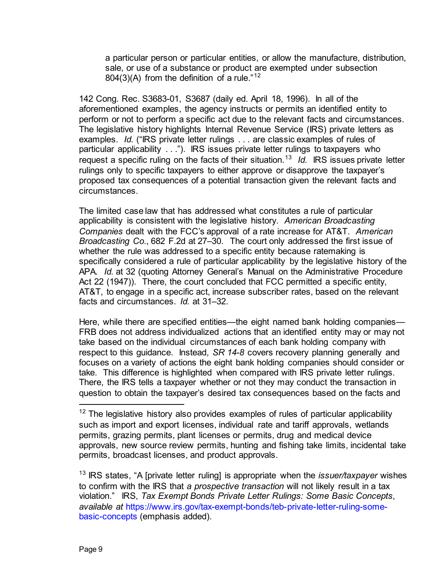a particular person or particular entities, or allow the manufacture, distribution, sale, or use of a substance or product are exempted under subsection 804(3)(A) from the definition of a rule."<sup>[12](#page-8-0)</sup>

142 Cong. Rec. S3683-01, S3687 (daily ed. April 18, 1996). In all of the aforementioned examples, the agency instructs or permits an identified entity to perform or not to perform a specific act due to the relevant facts and circumstances. The legislative history highlights Internal Revenue Service (IRS) private letters as examples. *Id.* ("IRS private letter rulings . . . are classic examples of rules of particular applicability . . ."). IRS issues private letter rulings to taxpayers who request a specific ruling on the facts of their situation.[13](#page-8-1) *Id.* IRS issues private letter rulings only to specific taxpayers to either approve or disapprove the taxpayer's proposed tax consequences of a potential transaction given the relevant facts and circumstances.

The limited case law that has addressed what constitutes a rule of particular applicability is consistent with the legislative history. *American Broadcasting Companies* dealt with the FCC's approval of a rate increase for AT&T. *American Broadcasting Co*., 682 F.2d at 27–30. The court only addressed the first issue of whether the rule was addressed to a specific entity because ratemaking is specifically considered a rule of particular applicability by the legislative history of the APA. *Id.* at 32 (quoting Attorney General's Manual on the Administrative Procedure Act 22 (1947)). There, the court concluded that FCC permitted a specific entity, AT&T, to engage in a specific act, increase subscriber rates, based on the relevant facts and circumstances. *Id.* at 31–32.

Here, while there are specified entities—the eight named bank holding companies— FRB does not address individualized actions that an identified entity may or may not take based on the individual circumstances of each bank holding company with respect to this guidance. Instead, *SR 14-8* covers recovery planning generally and focuses on a variety of actions the eight bank holding companies should consider or take. This difference is highlighted when compared with IRS private letter rulings. There, the IRS tells a taxpayer whether or not they may conduct the transaction in question to obtain the taxpayer's desired tax consequences based on the facts and

<span id="page-8-0"></span> $12$  The legislative history also provides examples of rules of particular applicability such as import and export licenses, individual rate and tariff approvals, wetlands permits, grazing permits, plant licenses or permits, drug and medical device approvals, new source review permits, hunting and fishing take limits, incidental take permits, broadcast licenses, and product approvals.

<span id="page-8-1"></span><sup>13</sup> IRS states, "A [private letter ruling] is appropriate when the *issuer/taxpayer* wishes to confirm with the IRS that *a prospective transaction* will not likely result in a tax violation." IRS, *Tax Exempt Bonds Private Letter Rulings: Some Basic Concepts*, *available at* [https://www.irs.gov/tax-exempt-bonds/teb-private-letter-ruling-some](https://www.irs.gov/tax-exempt-bonds/teb-private-letter-ruling-some-basic-concepts)[basic-concepts](https://www.irs.gov/tax-exempt-bonds/teb-private-letter-ruling-some-basic-concepts) (emphasis added).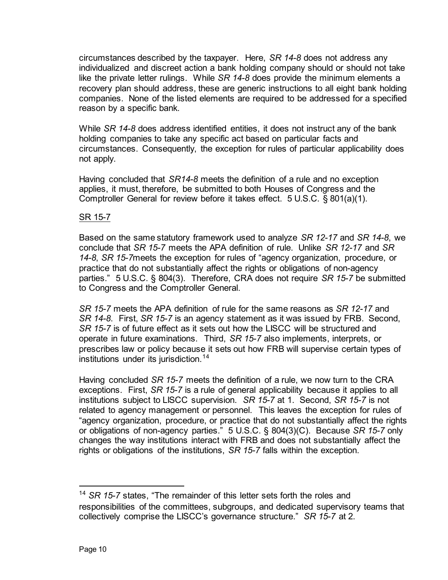circumstances described by the taxpayer. Here, *SR 14-8* does not address any individualized and discreet action a bank holding company should or should not take like the private letter rulings. While *SR 14-8* does provide the minimum elements a recovery plan should address, these are generic instructions to all eight bank holding companies. None of the listed elements are required to be addressed for a specified reason by a specific bank.

While *SR 14-8* does address identified entities, it does not instruct any of the bank holding companies to take any specific act based on particular facts and circumstances. Consequently, the exception for rules of particular applicability does not apply.

Having concluded that *SR14-8* meets the definition of a rule and no exception applies, it must, therefore, be submitted to both Houses of Congress and the Comptroller General for review before it takes effect. 5 U.S.C. § 801(a)(1).

## SR 15-7

Based on the same statutory framework used to analyze *SR 12-17* and *SR 14-8*, we conclude that *SR 15-7* meets the APA definition of rule. Unlike *SR 12-17* and *SR 14-8*, *SR 15-7*meets the exception for rules of "agency organization, procedure, or practice that do not substantially affect the rights or obligations of non-agency parties." 5 U.S.C. § 804(3). Therefore, CRA does not require *SR 15-7* be submitted to Congress and the Comptroller General.

*SR 15-7* meets the APA definition of rule for the same reasons as *SR 12-17* and *SR 14-8*. First, *SR 15-7* is an agency statement as it was issued by FRB. Second, *SR 15-7* is of future effect as it sets out how the LISCC will be structured and operate in future examinations. Third, *SR 15-7* also implements, interprets, or prescribes law or policy because it sets out how FRB will supervise certain types of institutions under its jurisdiction.<sup>[14](#page-9-0)</sup>

Having concluded *SR 15-7* meets the definition of a rule, we now turn to the CRA exceptions. First, *SR 15-7* is a rule of general applicability because it applies to all institutions subject to LISCC supervision. *SR 15-7* at 1. Second, *SR 15-7* is not related to agency management or personnel. This leaves the exception for rules of "agency organization, procedure, or practice that do not substantially affect the rights or obligations of non-agency parties." 5 U.S.C. § 804(3)(C). Because *SR 15-7* only changes the way institutions interact with FRB and does not substantially affect the rights or obligations of the institutions, *SR 15-7* falls within the exception.

<span id="page-9-0"></span><sup>&</sup>lt;sup>14</sup> SR 15-7 states, "The remainder of this letter sets forth the roles and responsibilities of the committees, subgroups, and dedicated supervisory teams that collectively comprise the LISCC's governance structure." *SR 15-7* at 2.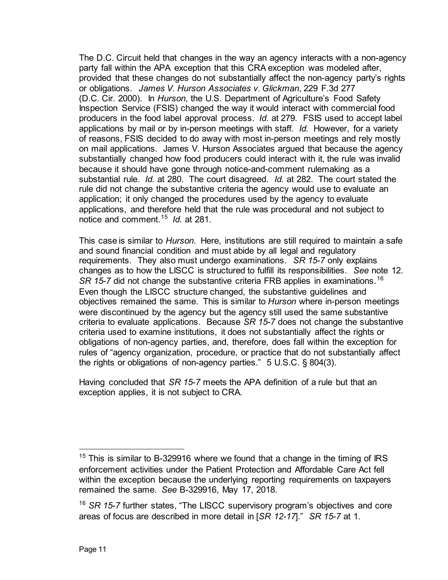The D.C. Circuit held that changes in the way an agency interacts with a non-agency party fall within the APA exception that this CRA exception was modeled after, provided that these changes do not substantially affect the non-agency party's rights or obligations. *James V. Hurson Associates v. Glickman*, 229 F.3d 277 (D.C. Cir. 2000). In *Hurson*, the U.S. Department of Agriculture's Food Safety Inspection Service (FSIS) changed the way it would interact with commercial food producers in the food label approval process. *Id.* at 279. FSIS used to accept label applications by mail or by in-person meetings with staff. *Id.* However, for a variety of reasons, FSIS decided to do away with most in-person meetings and rely mostly on mail applications. James V. Hurson Associates argued that because the agency substantially changed how food producers could interact with it, the rule was invalid because it should have gone through notice-and-comment rulemaking as a substantial rule. *Id.* at 280. The court disagreed. *Id.* at 282. The court stated the rule did not change the substantive criteria the agency would use to evaluate an application; it only changed the procedures used by the agency to evaluate applications, and therefore held that the rule was procedural and not subject to notice and comment.[15](#page-10-0) *Id.* at 281.

This case is similar to *Hurson*. Here, institutions are still required to maintain a safe and sound financial condition and must abide by all legal and regulatory requirements. They also must undergo examinations. *SR 15-7* only explains changes as to how the LISCC is structured to fulfill its responsibilities. *See* note 12. SR 15-7 did not change the substantive criteria FRB applies in examinations.<sup>16</sup> Even though the LISCC structure changed, the substantive guidelines and objectives remained the same. This is similar to *Hurson* where in-person meetings were discontinued by the agency but the agency still used the same substantive criteria to evaluate applications. Because *SR 15-7* does not change the substantive criteria used to examine institutions, it does not substantially affect the rights or obligations of non-agency parties, and, therefore, does fall within the exception for rules of "agency organization, procedure, or practice that do not substantially affect the rights or obligations of non-agency parties." 5 U.S.C. § 804(3).

Having concluded that *SR 15-7* meets the APA definition of a rule but that an exception applies, it is not subject to CRA.

<span id="page-10-0"></span> $15$  This is similar to B-329916 where we found that a change in the timing of IRS enforcement activities under the Patient Protection and Affordable Care Act fell within the exception because the underlying reporting requirements on taxpayers remained the same. *See* B-329916, May 17, 2018.

<span id="page-10-1"></span><sup>16</sup> *SR 15-7* further states, "The LISCC supervisory program's objectives and core areas of focus are described in more detail in [*SR 12-17*]." *SR 15-7* at 1.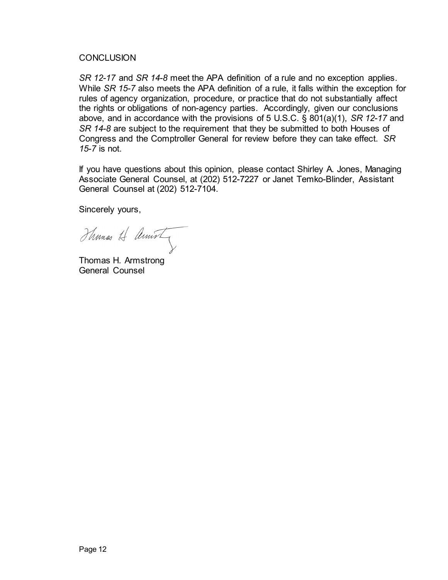## **CONCLUSION**

*SR 12-17* and *SR 14-8* meet the APA definition of a rule and no exception applies. While *SR 15-7* also meets the APA definition of a rule, it falls within the exception for rules of agency organization, procedure, or practice that do not substantially affect the rights or obligations of non-agency parties. Accordingly, given our conclusions above, and in accordance with the provisions of 5 U.S.C. § 801(a)(1), *SR 12-17* and *SR 14-8* are subject to the requirement that they be submitted to both Houses of Congress and the Comptroller General for review before they can take effect. *SR 15-7* is not.

If you have questions about this opinion, please contact Shirley A. Jones, Managing Associate General Counsel, at (202) 512-7227 or Janet Temko-Blinder, Assistant General Counsel at (202) 512-7104.

Sincerely yours,

Thomas H Amisty

Thomas H. Armstrong General Counsel